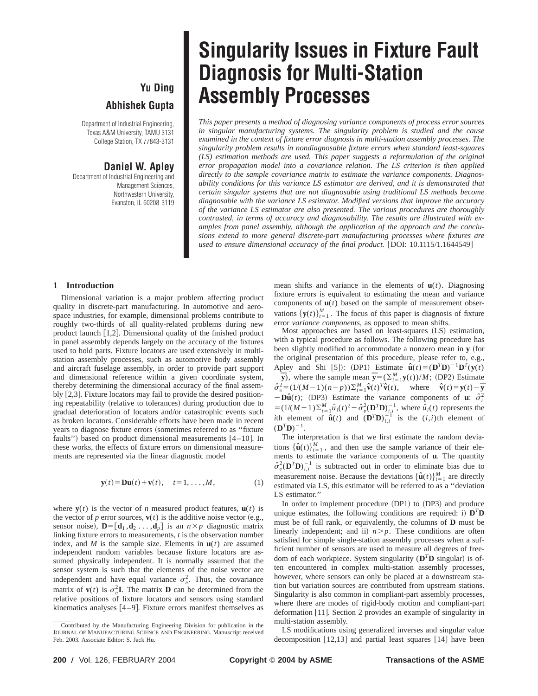## **Yu Ding Abhishek Gupta**

Department of Industrial Engineering, Texas A&M University, TAMU 3131 College Station, TX 77843-3131

### **Daniel W. Apley**

Department of Industrial Engineering and Management Sciences, Northwestern University, Evanston, IL 60208-3119

# **Singularity Issues in Fixture Fault Diagnosis for Multi-Station Assembly Processes**

*This paper presents a method of diagnosing variance components of process error sources in singular manufacturing systems. The singularity problem is studied and the cause examined in the context of fixture error diagnosis in multi-station assembly processes. The singularity problem results in nondiagnosable fixture errors when standard least-squares (LS) estimation methods are used. This paper suggests a reformulation of the original error propagation model into a covariance relation. The LS criterion is then applied directly to the sample covariance matrix to estimate the variance components. Diagnosability conditions for this variance LS estimator are derived, and it is demonstrated that certain singular systems that are not diagnosable using traditional LS methods become diagnosable with the variance LS estimator. Modified versions that improve the accuracy of the variance LS estimator are also presented. The various procedures are thoroughly contrasted, in terms of accuracy and diagnosability. The results are illustrated with examples from panel assembly, although the application of the approach and the conclusions extend to more general discrete-part manufacturing processes where fixtures are used to ensure dimensional accuracy of the final product.* [DOI: 10.1115/1.1644549]

#### **1 Introduction**

Dimensional variation is a major problem affecting product quality in discrete-part manufacturing. In automotive and aerospace industries, for example, dimensional problems contribute to roughly two-thirds of all quality-related problems during new product launch  $[1,2]$ . Dimensional quality of the finished product in panel assembly depends largely on the accuracy of the fixtures used to hold parts. Fixture locators are used extensively in multistation assembly processes, such as automotive body assembly and aircraft fuselage assembly, in order to provide part support and dimensional reference within a given coordinate system, thereby determining the dimensional accuracy of the final assembly  $[2,3]$ . Fixture locators may fail to provide the desired positioning repeatability (relative to tolerances) during production due to gradual deterioration of locators and/or catastrophic events such as broken locators. Considerable efforts have been made in recent years to diagnose fixture errors (sometimes referred to as "fixture") faults") based on product dimensional measurements  $[4-10]$ . In these works, the effects of fixture errors on dimensional measurements are represented via the linear diagnostic model

$$
\mathbf{y}(t) = \mathbf{D}\mathbf{u}(t) + \mathbf{v}(t), \quad t = 1, \dots, M,
$$
 (1)

where  $\mathbf{v}(t)$  is the vector of *n* measured product features,  $\mathbf{u}(t)$  is the vector of *p* error sources,  $\mathbf{v}(t)$  is the additive noise vector (e.g., sensor noise),  $\mathbf{D} = [\mathbf{d}_1, \mathbf{d}_2 \dots, \mathbf{d}_n]$  is an  $n \times p$  diagnostic matrix linking fixture errors to measurements, *t* is the observation number index, and *M* is the sample size. Elements in  $\mathbf{u}(t)$  are assumed independent random variables because fixture locators are assumed physically independent. It is normally assumed that the sensor system is such that the elements of the noise vector are independent and have equal variance  $\sigma_v^2$ . Thus, the covariance matrix of  $\mathbf{v}(t)$  is  $\sigma_v^2 \mathbf{I}$ . The matrix **D** can be determined from the relative positions of fixture locators and sensors using standard kinematics analyses  $[4-9]$ . Fixture errors manifest themselves as

mean shifts and variance in the elements of  $\mathbf{u}(t)$ . Diagnosing fixture errors is equivalent to estimating the mean and variance components of  $\mathbf{u}(t)$  based on the sample of measurement observations  ${\bf y}(t)_{t=1}^M$ . The focus of this paper is diagnosis of fixture error *variance components*, as opposed to mean shifts.

Most approaches are based on least-squares (LS) estimation, with a typical procedure as follows. The following procedure has been slightly modified to accommodate a nonzero mean in **y** (for the original presentation of this procedure, please refer to, e.g., Apley and Shi [5]): (DP1) Estimate  $\hat{\mathbf{u}}(t) = (\mathbf{D}^T \mathbf{D})^{-1} \mathbf{D}^T(\mathbf{y}(t))$  $-\bar{y}$ ), where the sample mean  $\bar{y} = (\sum_{t=1}^{M} y(t))/M$ ; (DP2) Estimate  $\hat{\sigma}_v^2 = (1/(M-1)(n-p))\sum_{t=1}^{M} \hat{\mathbf{v}}(t) \hat{\mathbf{v}}(t),$  where  $\hat{\mathbf{v}}(t) = \mathbf{y}(t) - \overline{\mathbf{y}}$  $-\mathbf{D}\hat{\mathbf{u}}(t)$ ; (DP3) Estimate the variance components of **u**:  $\hat{\sigma}_i^2$  $= (1/(M-1)\sum_{t=1}^{M} \hat{u}_i(t)^2 - \hat{\sigma}_v^2(\mathbf{D}^T \mathbf{D})_{i,i}^{-1}$ , where  $\hat{u}_i(t)$  represents the *i*th element of  $\hat{\mathbf{u}}(t)$  and  $(\mathbf{D}^T \mathbf{D})_{i,i}^{-1}$  is the  $(i,i)$ th element of  $(D^T D)^{-1}$ .

The interpretation is that we first estimate the random deviations  $\{\hat{\mathbf{u}}(t)\}_{t=1}^{M}$ , and then use the sample variance of their elements to estimate the variance components of **u**. The quantity  $\hat{\sigma}_v^2(\mathbf{D}^T \mathbf{D})_{i,i}^{-1}$  is subtracted out in order to eliminate bias due to measurement noise. Because the deviations  $\{\hat{\mathbf{u}}(t)\}_{t=1}^{M}$  are directly estimated via LS, this estimator will be referred to as a ''deviation LS estimator.''

In order to implement procedure  $(DP1)$  to  $(DP3)$  and produce unique estimates, the following conditions are required: i)  $\mathbf{D}^T \mathbf{D}$ must be of full rank, or equivalently, the columns of **D** must be linearly independent; and ii)  $n > p$ . These conditions are often satisfied for simple single-station assembly processes when a sufficient number of sensors are used to measure all degrees of freedom of each workpiece. System singularity  $(D^T D \sin \theta)$  is often encountered in complex multi-station assembly processes, however, where sensors can only be placed at a downstream station but variation sources are contributed from upstream stations. Singularity is also common in compliant-part assembly processes, where there are modes of rigid-body motion and compliant-part deformation  $[11]$ . Section 2 provides an example of singularity in multi-station assembly.

LS modifications using generalized inverses and singular value decomposition  $\lceil 12,13 \rceil$  and partial least squares  $\lceil 14 \rceil$  have been

Contributed by the Manufacturing Engineering Division for publication in the JOURNAL OF MANUFACTURING SCIENCE AND ENGINEERING. Manuscript received Feb. 2003. Associate Editor: S. Jack Hu.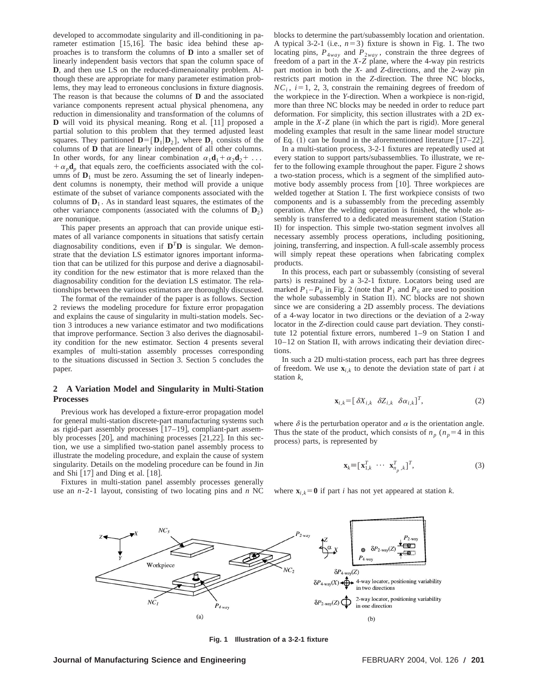developed to accommodate singularity and ill-conditioning in parameter estimation  $[15,16]$ . The basic idea behind these approaches is to transform the columns of **D** into a smaller set of linearly independent basis vectors that span the column space of **D**, and then use LS on the reduced-dimenaionality problem. Although these are appropriate for many parameter estimation problems, they may lead to erroneous conclusions in fixture diagnosis. The reason is that because the columns of **D** and the associated variance components represent actual physical phenomena, any reduction in dimensionality and transformation of the columns of **D** will void its physical meaning. Rong et al. [11] proposed a partial solution to this problem that they termed adjusted least squares. They partitioned  $\mathbf{D} = [\mathbf{D}_1 | \mathbf{D}_2]$ , where  $\mathbf{D}_1$  consists of the columns of **D** that are linearly independent of all other columns. In other words, for any linear combination  $\alpha_1 \mathbf{d}_1 + \alpha_2 \mathbf{d}_2 + \dots$  $+\alpha_p \mathbf{d}_p$  that equals zero, the coefficients associated with the columns of  $D_1$  must be zero. Assuming the set of linearly independent columns is nonempty, their method will provide a unique estimate of the subset of variance components associated with the columns of  $D_1$ . As in standard least squares, the estimates of the other variance components (associated with the columns of  $D_2$ ) are nonunique.

This paper presents an approach that can provide unique estimates of all variance components in situations that satisfy certain diagnosability conditions, even if  $D^T D$  is singular. We demonstrate that the deviation LS estimator ignores important information that can be utilized for this purpose and derive a diagnosability condition for the new estimator that is more relaxed than the diagnosability condition for the deviation LS estimator. The relationships between the various estimators are thoroughly discussed.

The format of the remainder of the paper is as follows. Section 2 reviews the modeling procedure for fixture error propagation and explains the cause of singularity in multi-station models. Section 3 introduces a new variance estimator and two modifications that improve performance. Section 3 also derives the diagnosability condition for the new estimator. Section 4 presents several examples of multi-station assembly processes corresponding to the situations discussed in Section 3. Section 5 concludes the paper.

#### **2 A Variation Model and Singularity in Multi-Station Processes**

Previous work has developed a fixture-error propagation model for general multi-station discrete-part manufacturing systems such as rigid-part assembly processes  $[17–19]$ , compliant-part assembly processes  $[20]$ , and machining processes  $[21,22]$ . In this section, we use a simplified two-station panel assembly process to illustrate the modeling procedure, and explain the cause of system singularity. Details on the modeling procedure can be found in Jin and Shi  $[17]$  and Ding et al.  $[18]$ .

Fixtures in multi-station panel assembly processes generally use an *n*-2-1 layout, consisting of two locating pins and *n* NC blocks to determine the part/subassembly location and orientation. A typical 3-2-1 (i.e.,  $n=3$ ) fixture is shown in Fig. 1. The two locating pins,  $P_{4way}$  and  $P_{2way}$ , constrain the three degrees of freedom of a part in the *X*-*Z* plane, where the 4-way pin restricts part motion in both the *X*- and *Z*-directions, and the 2-way pin restricts part motion in the *Z*-direction. The three NC blocks,  $NC_i$ ,  $i=1, 2, 3$ , constrain the remaining degrees of freedom of the workpiece in the *Y*-direction. When a workpiece is non-rigid, more than three NC blocks may be needed in order to reduce part deformation. For simplicity, this section illustrates with a 2D example in the  $X-Z$  plane (in which the part is rigid). More general modeling examples that result in the same linear model structure of Eq.  $(1)$  can be found in the aforementioned literature  $[17–22]$ .

In a multi-station process, 3-2-1 fixtures are repeatedly used at every station to support parts/subassemblies. To illustrate, we refer to the following example throughout the paper. Figure 2 shows a two-station process, which is a segment of the simplified automotive body assembly process from [10]. Three workpieces are welded together at Station I. The first workpiece consists of two components and is a subassembly from the preceding assembly operation. After the welding operation is finished, the whole assembly is transferred to a dedicated measurement station (Station II) for inspection. This simple two-station segment involves all necessary assembly process operations, including positioning, joining, transferring, and inspection. A full-scale assembly process will simply repeat these operations when fabricating complex products.

In this process, each part or subassembly (consisting of several parts) is restrained by a 3-2-1 fixture. Locators being used are marked  $P_1 - P_6$  in Fig. 2 (note that  $P_1$  and  $P_6$  are used to position the whole subassembly in Station II). NC blocks are not shown since we are considering a 2D assembly process. The deviations of a 4-way locator in two directions or the deviation of a 2-way locator in the *Z*-direction could cause part deviation. They constitute 12 potential fixture errors, numbered 1–9 on Station I and 10–12 on Station II, with arrows indicating their deviation directions.

In such a 2D multi-station process, each part has three degrees of freedom. We use  $\mathbf{x}_{i,k}$  to denote the deviation state of part *i* at station *k*,

$$
\mathbf{x}_{i,k} = [\delta X_{i,k} \quad \delta Z_{i,k} \quad \delta \alpha_{i,k}]^T, \tag{2}
$$

where  $\delta$  is the perturbation operator and  $\alpha$  is the orientation angle. Thus the state of the product, which consists of  $n_p$  ( $n_p=4$  in this process) parts, is represented by

$$
\mathbf{x}_{k} \equiv [\mathbf{x}_{1,k}^{T} \cdots \mathbf{x}_{n_{p},k}^{T}]^{T}, \tag{3}
$$

where  $\mathbf{x}_{i,k} = \mathbf{0}$  if part *i* has not yet appeared at station *k*.



**Fig. 1 Illustration of a 3-2-1 fixture**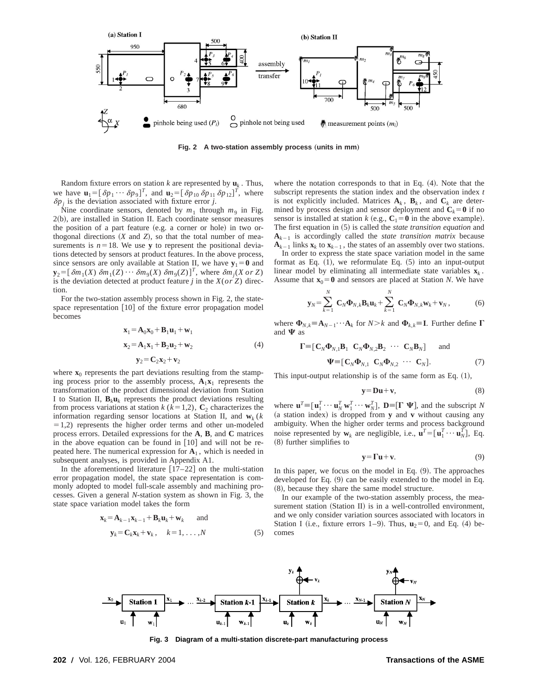

**Fig. 2** A two-station assembly process (units in mm)

Random fixture errors on station  $k$  are represented by  $\mathbf{u}_k$ . Thus, we have  $\mathbf{u}_1 = [\delta p_1 \cdots \delta p_9]^T$ , and  $\mathbf{u}_2 = [\delta p_{10} \delta p_{11} \delta p_{12}]^T$ , where  $\delta p_j$  is the deviation associated with fixture error *j*.

Nine coordinate sensors, denoted by  $m_1$  through  $m_9$  in Fig.  $2(b)$ , are installed in Station II. Each coordinate sensor measures the position of a part feature (e.g. a corner or hole) in two orthogonal directions  $(X \text{ and } Z)$ , so that the total number of measurements is  $n=18$ . We use **y** to represent the positional deviations detected by sensors at product features. In the above process, since sensors are only available at Station II, we have  $y_1 = 0$  and  $\mathbf{y}_2 = [\delta m_1(X) \delta m_1(Z) \cdots \delta m_9(X) \delta m_9(Z)]^T$ , where  $\delta m_j(X \text{ or } Z)$ is the deviation detected at product feature *j* in the  $X$ ( $or Z$ ) direction.

For the two-station assembly process shown in Fig. 2, the statespace representation  $[10]$  of the fixture error propagation model becomes

$$
\mathbf{x}_1 = \mathbf{A}_0 \mathbf{x}_0 + \mathbf{B}_1 \mathbf{u}_1 + \mathbf{w}_1
$$
  
\n
$$
\mathbf{x}_2 = \mathbf{A}_1 \mathbf{x}_1 + \mathbf{B}_2 \mathbf{u}_2 + \mathbf{w}_2
$$
  
\n
$$
\mathbf{y}_2 = \mathbf{C}_2 \mathbf{x}_2 + \mathbf{v}_2
$$
\n(4)

where  $\mathbf{x}_0$  represents the part deviations resulting from the stamping process prior to the assembly process,  $A_1x_1$  represents the transformation of the product dimensional deviation from Station I to Station II,  $\mathbf{B}_k \mathbf{u}_k$  represents the product deviations resulting from process variations at station  $k$  ( $k=1,2$ ),  $\mathbb{C}_2$  characterizes the information regarding sensor locations at Station II, and  $\mathbf{w}_k$  (*k*  $=1,2$ ) represents the higher order terms and other un-modeled process errors. Detailed expressions for the **A**, **B**, and **C** matrices in the above equation can be found in  $[10]$  and will not be repeated here. The numerical expression for  $A_1$ , which is needed in subsequent analyses, is provided in Appendix A1.

In the aforementioned literature  $[17–22]$  on the multi-station error propagation model, the state space representation is commonly adopted to model full-scale assembly and machining processes. Given a general *N*-station system as shown in Fig. 3, the state space variation model takes the form

$$
\mathbf{x}_{k} = \mathbf{A}_{k-1}\mathbf{x}_{k-1} + \mathbf{B}_{k}\mathbf{u}_{k} + \mathbf{w}_{k} \quad \text{and}
$$
  

$$
\mathbf{y}_{k} = \mathbf{C}_{k}\mathbf{x}_{k} + \mathbf{v}_{k}, \quad k = 1, ..., N
$$
 (5)

where the notation corresponds to that in Eq.  $(4)$ . Note that the subscript represents the station index and the observation index *t* is not explicitly included. Matrices  $A_k$ ,  $B_k$ , and  $C_k$  are determined by process design and sensor deployment and  $C_k = 0$  if no sensor is installed at station *k* (e.g.,  $C_1 = 0$  in the above example). The first equation in (5) is called the *state transition equation* and  $A_{k-1}$  is accordingly called the *state transition matrix* because  $A_{k-1}$  links  $\mathbf{x}_k$  to  $\mathbf{x}_{k-1}$ , the states of an assembly over two stations.

In order to express the state space variation model in the same format as Eq.  $(1)$ , we reformulate Eq.  $(5)$  into an input-output linear model by eliminating all intermediate state variables  $\mathbf{x}_k$ . Assume that  $\mathbf{x}_0 = \mathbf{0}$  and sensors are placed at Station *N*. We have

$$
\mathbf{y}_N = \sum_{k=1}^N \mathbf{C}_N \mathbf{\Phi}_{N,k} \mathbf{B}_k \mathbf{u}_k + \sum_{k=1}^N \mathbf{C}_N \mathbf{\Phi}_{N,k} \mathbf{w}_k + \mathbf{v}_N, \tag{6}
$$

where  $\Phi_{N,k} = \mathbf{A}_{N-1} \cdots \mathbf{A}_k$  for  $N > k$  and  $\Phi_{k,k} = \mathbf{I}$ . Further define  $\Gamma$ and  $\Psi$  as

$$
\Gamma = [\mathbf{C}_N \mathbf{\Phi}_{N,1} \mathbf{B}_1 \quad \mathbf{C}_N \mathbf{\Phi}_{N,2} \mathbf{B}_2 \quad \cdots \quad \mathbf{C}_N \mathbf{B}_N] \quad \text{and} \n\mathbf{\Psi} = [\mathbf{C}_N \mathbf{\Phi}_{N,1} \quad \mathbf{C}_N \mathbf{\Phi}_{N,2} \quad \cdots \quad \mathbf{C}_N]. \tag{7}
$$

This input-output relationship is of the same form as Eq.  $(1)$ ,

$$
y=Du+v, \t\t(8)
$$

where  $\mathbf{u}^T \equiv [\mathbf{u}_1^T \cdots \mathbf{u}_N^T \mathbf{w}_1^T \cdots \mathbf{w}_N^T]$ ,  $\mathbf{D} \equiv [\mathbf{\Gamma} \mathbf{\Psi}]$ , and the subscript *N* (a station index) is dropped from **y** and **v** without causing any ambiguity. When the higher order terms and process background noise represented by  $\mathbf{w}_k$  are negligible, i.e.,  $\mathbf{u}^T = [\mathbf{u}_1^T \cdots \mathbf{u}_N^T]$ , Eq.  $(8)$  further simplifies to

$$
y = \Gamma u + v. \tag{9}
$$

In this paper, we focus on the model in Eq.  $(9)$ . The approaches developed for Eq.  $(9)$  can be easily extended to the model in Eq.  $(8)$ , because they share the same model structure.

In our example of the two-station assembly process, the measurement station (Station II) is in a well-controlled environment, and we only consider variation sources associated with locators in Station I (i.e., fixture errors 1–9). Thus,  $\mathbf{u}_2=0$ , and Eq. (4) becomes



**Fig. 3 Diagram of a multi-station discrete-part manufacturing process**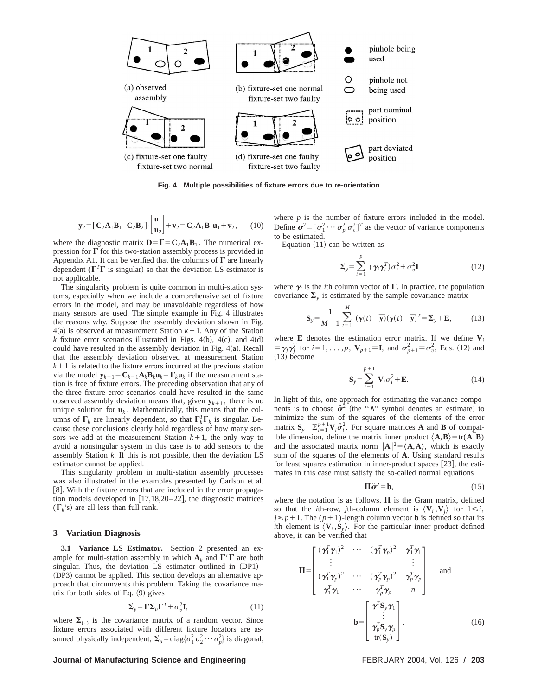

**Fig. 4 Multiple possibilities of fixture errors due to re-orientation**

$$
\mathbf{y}_2 = [\mathbf{C}_2 \mathbf{A}_1 \mathbf{B}_1 \quad \mathbf{C}_2 \mathbf{B}_2] \cdot \begin{bmatrix} \mathbf{u}_1 \\ \mathbf{u}_2 \end{bmatrix} + \mathbf{v}_2 = \mathbf{C}_2 \mathbf{A}_1 \mathbf{B}_1 \mathbf{u}_1 + \mathbf{v}_2, \qquad (10)
$$

where the diagnostic matrix  $\mathbf{D} = \mathbf{\Gamma} = \mathbf{C}_2 \mathbf{A}_1 \mathbf{B}_1$ . The numerical expression for  $\Gamma$  for this two-station assembly process is provided in Appendix A1. It can be verified that the columns of  $\Gamma$  are linearly dependent ( $\Gamma^T \Gamma$  is singular) so that the deviation LS estimator is not applicable.

The singularity problem is quite common in multi-station systems, especially when we include a comprehensive set of fixture errors in the model, and may be unavoidable regardless of how many sensors are used. The simple example in Fig. 4 illustrates the reasons why. Suppose the assembly deviation shown in Fig.  $4(a)$  is observed at measurement Station  $k+1$ . Any of the Station *k* fixture error scenarios illustrated in Figs. 4(b), 4(c), and 4(d) could have resulted in the assembly deviation in Fig.  $4(a)$ . Recall that the assembly deviation observed at measurement Station  $k+1$  is related to the fixture errors incurred at the previous station via the model  $\mathbf{y}_{k+1} = \mathbf{C}_{k+1} \mathbf{A}_k \mathbf{B}_k \mathbf{u}_k = \mathbf{\Gamma}_k \mathbf{u}_k$  if the measurement station is free of fixture errors. The preceding observation that any of the three fixture error scenarios could have resulted in the same observed assembly deviation means that, given  $y_{k+1}$ , there is no unique solution for  $\mathbf{u}_k$ . Mathematically, this means that the columns of  $\Gamma_k$  are linearly dependent, so that  $\Gamma_k^T \Gamma_k$  is singular. Because these conclusions clearly hold regardless of how many sensors we add at the measurement Station  $k+1$ , the only way to avoid a nonsingular system in this case is to add sensors to the assembly Station *k*. If this is not possible, then the deviation LS estimator cannot be applied.

This singularity problem in multi-station assembly processes was also illustrated in the examples presented by Carlson et al. [8]. With the fixture errors that are included in the error propagation models developed in  $[17,18,20-22]$ , the diagnostic matrices  $(\Gamma_k)$  are all less than full rank.

#### **3 Variation Diagnosis**

**3.1 Variance LS Estimator.** Section 2 presented an example for multi-station assembly in which  $A_k$  and  $\Gamma^T\Gamma$  are both singular. Thus, the deviation LS estimator outlined in  $(DP1)$ – (DP3) cannot be applied. This section develops an alternative approach that circumvents this problem. Taking the covariance matrix for both sides of Eq.  $(9)$  gives

$$
\Sigma_{y} = \Gamma \Sigma_{u} \Gamma^{T} + \sigma_{v}^{2} \mathbf{I},\tag{11}
$$

where  $\Sigma_{(+)}$  is the covariance matrix of a random vector. Since fixture errors associated with different fixture locators are assumed physically independent,  $\Sigma_u = \text{diag}\{\sigma_1^2 \sigma_2^2 \cdots \sigma_p^2\}$  is diagonal,

#### **Journal of Manufacturing Science and Engineering FEBRUARY 2004, Vol. 126 / 203**

where  $p$  is the number of fixture errors included in the model. Define  $\sigma^2 \equiv [\sigma_1^2 \cdots \sigma_p^2 \sigma_v^2]^T$  as the vector of variance components to be estimated.

Equation  $(11)$  can be written as

$$
\Sigma_{y} = \sum_{i=1}^{p} (\gamma_{i} \gamma_{i}^{T}) \sigma_{i}^{2} + \sigma_{v}^{2} \mathbf{I}
$$
 (12)

where  $\gamma$  is the *i*th column vector of  $\Gamma$ . In practice, the population covariance  $\Sigma$ <sub>y</sub> is estimated by the sample covariance matrix

$$
\mathbf{S}_{y} = \frac{1}{M-1} \sum_{t=1}^{M} (\mathbf{y}(t) - \overline{\mathbf{y}})(\mathbf{y}(t) - \overline{\mathbf{y}})^{T} = \Sigma_{y} + \mathbf{E},
$$
 (13)

where **E** denotes the estimation error matrix. If we define  $V_i$  $\equiv \gamma_j \gamma_j^T$  for  $i = 1, \ldots, p$ ,  $\mathbf{V}_{p+1} \equiv \mathbf{I}$ , and  $\sigma_{p+1}^2 \equiv \sigma_v^2$ , Eqs. (12) and  $(13)$  become

$$
\mathbf{S}_{y} = \sum_{i=1}^{p+1} \mathbf{V}_{i} \sigma_{i}^{2} + \mathbf{E}.
$$
 (14)

In light of this, one approach for estimating the variance components is to choose  $\hat{\sigma}^2$  (the " $\wedge$ " symbol denotes an estimate) to minimize the sum of the squares of the elements of the error matrix  $S_y - \sum_{i=1}^{p+1} V_i \hat{\sigma}_i^2$ . For square matrices **A** and **B** of compatible dimension, define the matrix inner product  $\langle \mathbf{A}, \mathbf{B} \rangle = \text{tr}(\mathbf{A}^T \mathbf{B})$ and the associated matrix norm  $\|\mathbf{A}\|^2 = \langle \mathbf{A}, \mathbf{A} \rangle$ , which is exactly sum of the squares of the elements of **A**. Using standard results for least squares estimation in inner-product spaces  $[23]$ , the estimates in this case must satisfy the so-called normal equations

$$
\Pi \hat{\sigma}^2 = \mathbf{b},\tag{15}
$$

where the notation is as follows.  $\Pi$  is the Gram matrix, defined so that the *i*th-row, *j*th-column element is  $\langle V_i, V_j \rangle$  for  $1 \le i$ ,  $j \leq p+1$ . The  $(p+1)$ -length column vector **b** is defined so that its *i*th element is  $\langle V_i, S_v \rangle$ . For the particular inner product defined above, it can be verified that

$$
\mathbf{II} = \begin{bmatrix}\n(\gamma_1^T \gamma_1)^2 & \cdots & (\gamma_1^T \gamma_p)^2 & \gamma_1^T \gamma_1 \\
\vdots & & \vdots \\
(\gamma_1^T \gamma_p)^2 & \cdots & (\gamma_p^T \gamma_p)^2 & \gamma_p^T \gamma_p \\
\gamma_1^T \gamma_1 & \cdots & \gamma_p^T \gamma_p & n\n\end{bmatrix} \quad \text{and} \quad b = \begin{bmatrix}\n\gamma_1^T \mathbf{S}_y \gamma_1 \\
\vdots \\
\gamma_p^T \mathbf{S}_y \gamma_p \\
\vdots \\
\gamma_p^T \mathbf{S}_y \gamma_p \\
\text{tr}(\mathbf{S}_y)\n\end{bmatrix}.
$$
\n(16)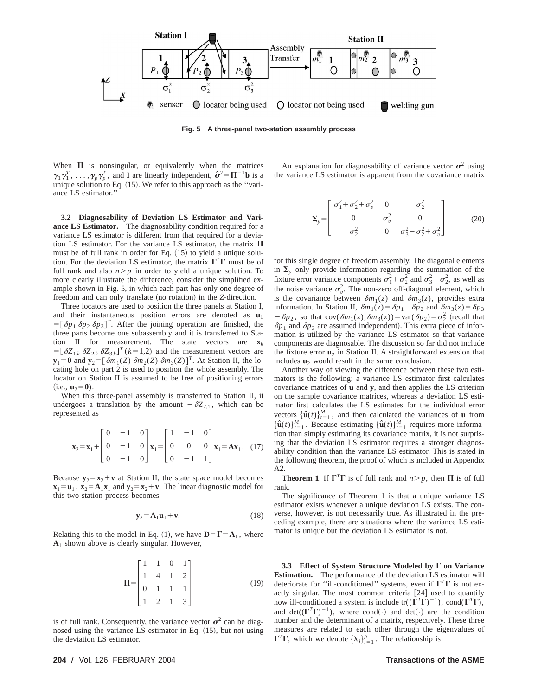

**Fig. 5 A three-panel two-station assembly process**

When  $\Pi$  is nonsingular, or equivalently when the matrices  $\gamma_1 \gamma_1^T, \ldots, \gamma_p \gamma_p^T$ , and **I** are linearly independent,  $\hat{\sigma}^2 = \Pi^{-1} \mathbf{b}$  is a unique solution to Eq.  $(15)$ . We refer to this approach as the "variance LS estimator.''

**3.2 Diagnosability of Deviation LS Estimator and Variance LS Estimator.** The diagnosability condition required for a variance LS estimator is different from that required for a deviation LS estimator. For the variance LS estimator, the matrix  $\Pi$ must be of full rank in order for Eq.  $(15)$  to yield a unique solution. For the deviation LS estimator, the matrix  $\Gamma^T\Gamma$  must be of full rank and also  $n > p$  in order to yield a unique solution. To more clearly illustrate the difference, consider the simplified example shown in Fig. 5, in which each part has only one degree of freedom and can only translate (no rotation) in the *Z*-direction.

Three locators are used to position the three panels at Station I, and their instantaneous position errors are denoted as  $\mathbf{u}_1$  $=[\delta p_1 \delta p_2 \delta p_3]^T$ . After the joining operation are finished, the three parts become one subassembly and it is transferred to Station II for measurement. The state vectors are **x***<sup>k</sup>*  $=[\delta Z_{1,k} \delta Z_{2,k} \delta Z_{3,k}]^{T}$  (*k* = 1,2) and the measurement vectors are  $\mathbf{y}_1 = \mathbf{0}$  and  $\mathbf{y}_2 = [\delta m_1(Z) \delta m_2(Z) \delta m_3(Z)]^T$ . At Station II, the locating hole on part 2 is used to position the whole assembly. The locator on Station II is assumed to be free of positioning errors  $(i.e., **u**<sub>2</sub>=0).$ 

When this three-panel assembly is transferred to Station II, it undergoes a translation by the amount  $-\delta Z_{2,1}$ , which can be represented as

$$
\mathbf{x}_2 = \mathbf{x}_1 + \begin{bmatrix} 0 & -1 & 0 \\ 0 & -1 & 0 \\ 0 & -1 & 0 \end{bmatrix} \mathbf{x}_1 = \begin{bmatrix} 1 & -1 & 0 \\ 0 & 0 & 0 \\ 0 & -1 & 1 \end{bmatrix} \mathbf{x}_1 = \mathbf{A} \mathbf{x}_1. \quad (17)
$$

Because  $y_2 = x_2 + v$  at Station II, the state space model becomes  $\mathbf{x}_1 = \mathbf{u}_1$ ,  $\mathbf{x}_2 = \mathbf{A}_1 \mathbf{x}_1$  and  $\mathbf{y}_2 = \mathbf{x}_2 + \mathbf{v}$ . The linear diagnostic model for this two-station process becomes

$$
\mathbf{y}_2 = \mathbf{A}_1 \mathbf{u}_1 + \mathbf{v}.\tag{18}
$$

Relating this to the model in Eq. (1), we have  $\mathbf{D} = \mathbf{\Gamma} = \mathbf{A}_1$ , where **A**<sup>1</sup> shown above is clearly singular. However,

$$
\mathbf{\Pi} = \begin{bmatrix} 1 & 1 & 0 & 1 \\ 1 & 4 & 1 & 2 \\ 0 & 1 & 1 & 1 \\ 1 & 2 & 1 & 3 \end{bmatrix}
$$
 (19)

is of full rank. Consequently, the variance vector  $\sigma^2$  can be diagnosed using the variance LS estimator in Eq.  $(15)$ , but not using the deviation LS estimator.

An explanation for diagnosability of variance vector  $\sigma^2$  using the variance LS estimator is apparent from the covariance matrix

$$
\Sigma_{y} = \begin{bmatrix} \sigma_1^2 + \sigma_2^2 + \sigma_v^2 & 0 & \sigma_2^2 \\ 0 & \sigma_v^2 & 0 \\ \sigma_2^2 & 0 & \sigma_3^2 + \sigma_2^2 + \sigma_v^2 \end{bmatrix}
$$
 (20)

for this single degree of freedom assembly. The diagonal elements in  $\Sigma$ <sub>y</sub> only provide information regarding the summation of the fixture error variance components  $\sigma_1^2 + \sigma_2^2$  and  $\sigma_3^2 + \sigma_2^2$ , as well as the noise variance  $\sigma_v^2$ . The non-zero off-diagonal element, which is the covariance between  $\delta m_1(z)$  and  $\delta m_3(z)$ , provides extra information. In Station II,  $\delta m_1(z) = \delta p_1 - \delta p_2$  and  $\delta m_3(z) = \delta p_3$  $-\delta p_2$ , so that cov( $\delta m_1(z)$ ,  $\delta m_3(z)$ ) = var( $\delta p_2$ ) =  $\sigma_2^2$  (recall that  $\delta p_1$  and  $\delta p_3$  are assumed independent). This extra piece of information is utilized by the variance LS estimator so that variance components are diagnosable. The discussion so far did not include the fixture error  $\mathbf{u}_2$  in Station II. A straightforward extension that includes  $\mathbf{u}_2$  would result in the same conclusion.

Another way of viewing the difference between these two estimators is the following: a variance LS estimator first calculates covariance matrices of **u** and **y**, and then applies the LS criterion on the sample covariance matrices, whereas a deviation LS estimator first calculates the LS estimates for the individual error vectors  $\{\hat{\mathbf{u}}(t)\}_{t=1}^M$ , and then calculated the variances of **u** from  ${\hat{\bf u}}(t)_{t=1}^M$ . Because estimating  ${\hat{\bf u}}(t)_{t=1}^M$  requires more information than simply estimating its covariance matrix, it is not surprising that the deviation LS estimator requires a stronger diagnosability condition than the variance LS estimator. This is stated in the following theorem, the proof of which is included in Appendix A2.

**Theorem 1**. If  $\Gamma^T \Gamma$  is of full rank and  $n > p$ , then  $\Pi$  is of full rank.

The significance of Theorem 1 is that a unique variance LS estimator exists whenever a unique deviation LS exists. The converse, however, is not necessarily true. As illustrated in the preceding example, there are situations where the variance LS estimator is unique but the deviation LS estimator is not.

**3.3 Effect of System Structure Modeled by**  $\Gamma$  **on Variance Estimation.** The performance of the deviation LS estimator will deteriorate for "ill-conditioned" systems, even if  $\Gamma^T\Gamma$  is not exactly singular. The most common criteria [24] used to quantify how ill-conditioned a system is include  $tr((\Gamma^T \Gamma)^{-1})$ , cond $(\Gamma^T \Gamma)$ , and  $det((\Gamma^T \Gamma)^{-1})$ , where cond(·) and  $det(\cdot)$  are the condition number and the determinant of a matrix, respectively. These three measures are related to each other through the eigenvalues of  $\Gamma^T \Gamma$ , which we denote  $\{\lambda_i\}_{i=1}^p$ . The relationship is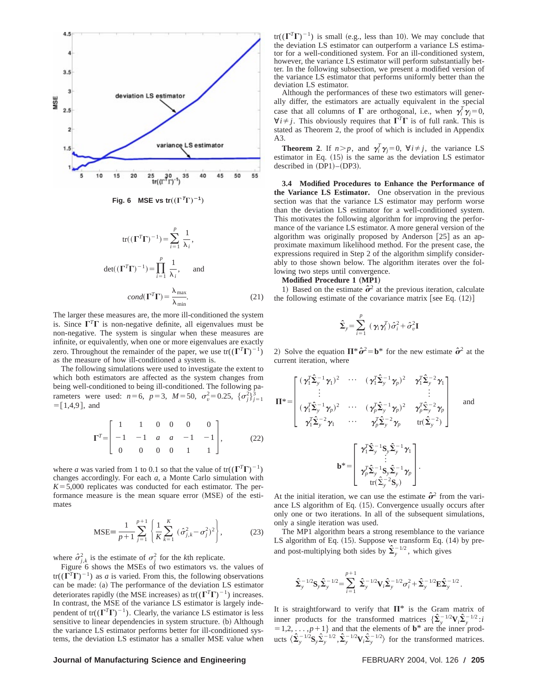

**Fig. 6** MSE vs tr $((\Gamma^T \Gamma)^{-1})$ 

$$
tr((\Gamma^T \Gamma)^{-1}) = \sum_{i=1}^p \frac{1}{\lambda_i},
$$
  

$$
det((\Gamma^T \Gamma)^{-1}) = \prod_{i=1}^p \frac{1}{\lambda_i}, \text{ and}
$$
  

$$
cond(\Gamma^T \Gamma) = \frac{\lambda_{\text{max}}}{\lambda_{\text{min}}}.
$$
 (21)

The larger these measures are, the more ill-conditioned the system is. Since  $\Gamma^T\Gamma$  is non-negative definite, all eigenvalues must be non-negative. The system is singular when these measures are infinite, or equivalently, when one or more eigenvalues are exactly zero. Throughout the remainder of the paper, we use  $tr((\Gamma^T \Gamma)^{-1})$ as the measure of how ill-conditioned a system is.

The following simulations were used to investigate the extent to which both estimators are affected as the system changes from being well-conditioned to being ill-conditioned. The following parameters were used:  $n=6$ ,  $p=3$ ,  $M=50$ ,  $\sigma_v^2 = 0.25$ ,  $\{\sigma_j^2\}_{j=1}^3$  $=[1,4,9]$ , and

$$
\Gamma^{T} = \begin{bmatrix} 1 & 1 & 0 & 0 & 0 & 0 \\ -1 & -1 & a & a & -1 & -1 \\ 0 & 0 & 0 & 0 & 1 & 1 \end{bmatrix}, \quad (22)
$$

where *a* was varied from 1 to 0.1 so that the value of tr( $(\Gamma^T \Gamma)^{-1}$ ) changes accordingly. For each *a*, a Monte Carlo simulation with  $K=5,000$  replicates was conducted for each estimator. The performance measure is the mean square error (MSE) of the estimates

$$
\text{MSE} = \frac{1}{p+1} \sum_{j=1}^{p+1} \left\{ \frac{1}{K} \sum_{k=1}^{K} \left( \hat{\sigma}_{j,k}^{2} - \sigma_{j}^{2} \right)^{2} \right\},\tag{23}
$$

where  $\hat{\sigma}^2_{j,k}$  is the estimate of  $\sigma^2_j$  for the *k*th replicate.

Figure 6 shows the MSEs of two estimators vs. the values of  $tr((\Gamma^T \Gamma)^{-1})$  as *a* is varied. From this, the following observations can be made: (a) The performance of the deviation LS estimator deteriorates rapidly (the MSE increases) as  $tr((\Gamma^T \Gamma)^{-1})$  increases. In contrast, the MSE of the variance LS estimator is largely independent of tr( $(\Gamma^T \Gamma)^{-1}$ ). Clearly, the variance LS estimator is less sensitive to linear dependencies in system structure. (b) Although the variance LS estimator performs better for ill-conditioned systems, the deviation LS estimator has a smaller MSE value when  $tr((\Gamma^T \Gamma)^{-1})$  is small (e.g., less than 10). We may conclude that the deviation LS estimator can outperform a variance LS estimator for a well-conditioned system. For an ill-conditioned system, however, the variance LS estimator will perform substantially better. In the following subsection, we present a modified version of the variance LS estimator that performs uniformly better than the deviation LS estimator.

Although the performances of these two estimators will generally differ, the estimators are actually equivalent in the special case that all columns of  $\Gamma$  are orthogonal, i.e., when  $\gamma_i^T \gamma_j = 0$ ,  $\forall i \neq j$ . This obviously requires that  $\Gamma^T \Gamma$  is of full rank. This is stated as Theorem 2, the proof of which is included in Appendix  $A<sup>3</sup>$ 

**Theorem 2.** If  $n > p$ , and  $\gamma_i^T \gamma_j = 0$ ,  $\forall i \neq j$ , the variance LS estimator in Eq.  $(15)$  is the same as the deviation LS estimator described in  $(DP1)–(DP3)$ .

**3.4 Modified Procedures to Enhance the Performance of the Variance LS Estimator.** One observation in the previous section was that the variance LS estimator may perform worse than the deviation LS estimator for a well-conditioned system. This motivates the following algorithm for improving the performance of the variance LS estimator. A more general version of the algorithm was originally proposed by Anderson  $[25]$  as an approximate maximum likelihood method. For the present case, the expressions required in Step 2 of the algorithm simplify considerably to those shown below. The algorithm iterates over the following two steps until convergence.

#### **Modified Procedure 1 (MP1)**

1) Based on the estimate  $\hat{\sigma}^2$  at the previous iteration, calculate the following estimate of the covariance matrix [see Eq.  $(12)$ ]

$$
\hat{\Sigma}_y = \sum_{i=1}^p (\gamma_i \gamma_i^T) \hat{\sigma}_i^2 + \hat{\sigma}_v^2 \mathbf{I}
$$

2) Solve the equation  $\Pi^* \hat{\sigma}^2 = \mathbf{b}^*$  for the new estimate  $\hat{\sigma}^2$  at the current iteration, where

$$
\mathbf{\Pi}^* = \begin{bmatrix}\n(\boldsymbol{\gamma}_1^T \hat{\boldsymbol{\Sigma}}_y^{-1} \boldsymbol{\gamma}_1)^2 & \cdots & (\boldsymbol{\gamma}_1^T \hat{\boldsymbol{\Sigma}}_y^{-1} \boldsymbol{\gamma}_p)^2 & \boldsymbol{\gamma}_1^T \hat{\boldsymbol{\Sigma}}_y^{-2} \boldsymbol{\gamma}_1 \\
\vdots & & \vdots \\
(\boldsymbol{\gamma}_1^T \hat{\boldsymbol{\Sigma}}_y^{-1} \boldsymbol{\gamma}_p)^2 & \cdots & (\boldsymbol{\gamma}_p^T \hat{\boldsymbol{\Sigma}}_y^{-1} \boldsymbol{\gamma}_p)^2 & \boldsymbol{\gamma}_p^T \hat{\boldsymbol{\Sigma}}_y^{-2} \boldsymbol{\gamma}_p \\
\boldsymbol{\gamma}_1^T \hat{\boldsymbol{\Sigma}}_y^{-2} \boldsymbol{\gamma}_1 & \cdots & \boldsymbol{\gamma}_p^T \hat{\boldsymbol{\Sigma}}_y^{-2} \boldsymbol{\gamma}_p & \text{tr}(\hat{\boldsymbol{\Sigma}}_y^{-2})\n\end{bmatrix} \text{ and } \mathbf{b}^* = \begin{bmatrix}\n\boldsymbol{\gamma}_1^T \hat{\boldsymbol{\Sigma}}_y^{-1} \mathbf{S}_y \hat{\boldsymbol{\Sigma}}_y^{-1} \boldsymbol{\gamma}_1 \\
\vdots \\
\boldsymbol{\gamma}_p^T \hat{\boldsymbol{\Sigma}}_y^{-1} \mathbf{S}_y \hat{\boldsymbol{\Sigma}}_y^{-1} \boldsymbol{\gamma}_1 \\
\vdots \\
\boldsymbol{\gamma}_p^T \hat{\boldsymbol{\Sigma}}_y^{-1} \mathbf{S}_y \hat{\boldsymbol{\Sigma}}_y^{-1} \boldsymbol{\gamma}_p \\
\vdots \\
\boldsymbol{\gamma}_p^T \hat{\boldsymbol{\Sigma}}_y^{-1} \mathbf{S}_y \hat{\boldsymbol{\Sigma}}_y^{-1} \boldsymbol{\gamma}_p \\
\text{tr}(\hat{\boldsymbol{\Sigma}}_y^{-2} \mathbf{S}_y)\n\end{bmatrix}.
$$

At the initial iteration, we can use the estimate  $\hat{\sigma}^2$  from the variance LS algorithm of Eq.  $(15)$ . Convergence usually occurs after only one or two iterations. In all of the subsequent simulations, only a single iteration was used.

The MP1 algorithm bears a strong resemblance to the variance LS algorithm of Eq.  $(15)$ . Suppose we transform Eq.  $(14)$  by preand post-multiplying both sides by  $\hat{\Sigma}_y^{-1/2}$ , which gives

$$
\hat{\mathbf{\Sigma}}_{y}^{-1/2} \mathbf{S}_{y} \hat{\mathbf{\Sigma}}_{y}^{-1/2} = \sum_{i=1}^{p+1} \hat{\mathbf{\Sigma}}_{y}^{-1/2} \mathbf{V}_{i} \hat{\mathbf{\Sigma}}_{y}^{-1/2} \sigma_{i}^{2} + \hat{\mathbf{\Sigma}}_{y}^{-1/2} \mathbf{E} \hat{\mathbf{\Sigma}}_{y}^{-1/2}.
$$

It is straightforward to verify that  $\Pi^*$  is the Gram matrix of inner products for the transformed matrices  $\{\hat{\Sigma}_y^{-1/2} \mathbf{V}_i \hat{\Sigma}_y^{-1/2} : i\hat{\Sigma}_y^{-1/2} \}$  $y = 1,2, \ldots, p+1$  and that the elements of **b**\* are the inner products  $\langle \hat{\Sigma}_y^{-1/2} \mathbf{S}_y \hat{\Sigma}_y^{-1/2}, \hat{\Sigma}_y^{-1/2} \mathbf{V}_i \hat{\Sigma}_y^{-1/2} \rangle$  for the transformed matrices.

#### **Journal of Manufacturing Science and Engineering FEBRUARY 2004, Vol. 126 / 205**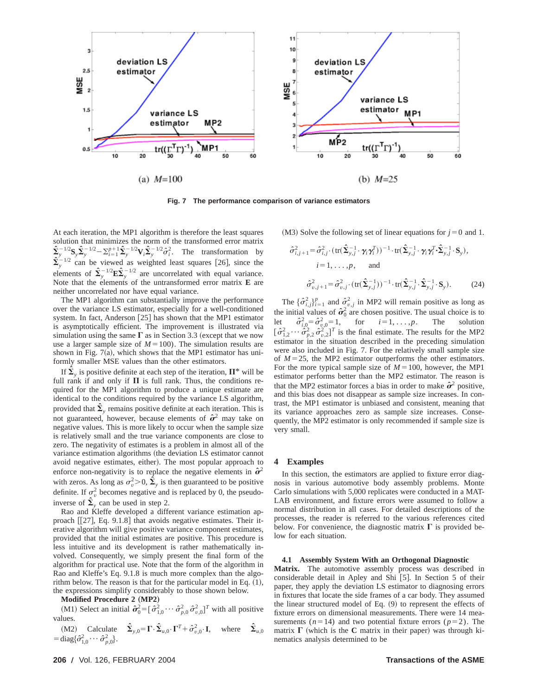

**Fig. 7 The performance comparison of variance estimators**

At each iteration, the MP1 algorithm is therefore the least squares solution that minimizes the norm of the transformed error matrix  $\sum_{y}^{6} \sum_{y}^{-1/2} S_{y} \hat{\Sigma}_{y}^{-1/2} - \sum_{i=1}^{p+1} \hat{\Sigma}_{y}^{-1/2} \mathbf{V}_{i} \hat{\Sigma}_{y}^{-1/2} \hat{\sigma}_{i}^{2}$ . The transformation by  $\hat{\Sigma}_{y}^{-1/2}$  can be viewed as weighted least squares [26], since the elements of  $\hat{\Sigma}_{y}^{-1/2} \mathbf{E} \hat{\Sigma}_{y}^{-1/2}$  are uncorrelated with equal variance. Note that the elements of the untransformed error matrix **E** are neither uncorrelated nor have equal variance.

The MP1 algorithm can substantially improve the performance over the variance LS estimator, especially for a well-conditioned system. In fact, Anderson  $[25]$  has shown that the MP1 estimator is asymptotically efficient. The improvement is illustrated via simulation using the same  $\Gamma$  as in Section 3.3 (except that we now use a larger sample size of  $M=100$ ). The simulation results are shown in Fig.  $7(a)$ , which shows that the MP1 estimator has uniformly smaller MSE values than the other estimators.

If  $\hat{\Sigma}_y$  is positive definite at each step of the iteration,  $\Pi^*$  will be full rank if and only if  $\Pi$  is full rank. Thus, the conditions required for the MP1 algorithm to produce a unique estimate are identical to the conditions required by the variance LS algorithm, provided that  $\hat{\Sigma}_y$  remains positive definite at each iteration. This is not guaranteed, however, because elements of  $\hat{\sigma}^2$  may take on negative values. This is more likely to occur when the sample size is relatively small and the true variance components are close to zero. The negativity of estimates is a problem in almost all of the variance estimation algorithms (the deviation LS estimator cannot avoid negative estimates, either). The most popular approach to enforce non-negativity is to replace the negative elements in  $\hat{\sigma}^2$ with zeros. As long as  $\sigma_v^2 > 0$ ,  $\hat{\Sigma}_y$  is then guaranteed to be positive definite. If  $\sigma_v^2$  becomes negative and is replaced by 0, the pseudoinverse of  $\hat{\Sigma}_y$  can be used in step 2.

Rao and Kleffe developed a different variance estimation approach  $[[27]$ , Eq. 9.1.8 that avoids negative estimates. Their iterative algorithm will give positive variance component estimates, provided that the initial estimates are positive. This procedure is less intuitive and its development is rather mathematically involved. Consequently, we simply present the final form of the algorithm for practical use. Note that the form of the algorithm in Rao and Kleffe's Eq. 9.1.8 is much more complex than the algorithm below. The reason is that for the particular model in Eq.  $(1)$ , the expressions simplify considerably to those shown below.

**Modified Procedure 2 (MP2)** 

(M1) Select an initial  $\hat{\sigma}_0^2 = [\hat{\sigma}_{1,0}^2 \cdots \hat{\sigma}_{p,0}^2 \hat{\sigma}_{v,0}^2]^T$  with all positive values.

(M2) Calculate  $\hat{\Sigma}_{y,0} = \Gamma \cdot \hat{\Sigma}_{u,0} \cdot \Gamma^T + \hat{\sigma}_{v,0}^2 \cdot \mathbf{I}$ , where  $\hat{\Sigma}_{u,0} = \text{diag}\{\hat{\sigma}_{1,0}^2 \cdots \hat{\sigma}_{p,0}^2\}$ .

 $(M3)$  Solve the following set of linear equations for  $j=0$  and 1.

$$
\hat{\sigma}_{i,j+1}^2 = \hat{\sigma}_{i,j}^2 \cdot (\text{tr}(\hat{\mathbf{\Sigma}}_{y,j}^{-1} \cdot \gamma_i \gamma_i^T))^{-1} \cdot \text{tr}(\hat{\mathbf{\Sigma}}_{y,j}^{-1} \cdot \gamma_i \gamma_i^T \cdot \hat{\mathbf{\Sigma}}_{y,j}^{-1} \cdot \mathbf{S}_y),
$$
\n
$$
i = 1, \dots, p, \quad \text{and}
$$
\n
$$
\hat{\sigma}_{v,j+1}^2 = \hat{\sigma}_{v,j}^2 \cdot (\text{tr}(\hat{\mathbf{\Sigma}}_{y,j}^{-1}))^{-1} \cdot \text{tr}(\hat{\mathbf{\Sigma}}_{y,j}^{-1} \cdot \hat{\mathbf{\Sigma}}_{y,j}^{-1} \cdot \mathbf{S}_y).
$$
\n(24)

The  $\{\hat{\sigma}_{i,j}^2\}_{i=1}^p$  and  $\hat{\sigma}_{v,j}^2$  in MP2 will remain positive as long as the initial values of  $\hat{\sigma}_0^2$  are chosen positive. The usual choice is to let  $\hat{\sigma}_{i,0}^2 = \hat{\sigma}_{v,0}^2 = 1$ , for  $i = 1, \dots, p$ . The solution  $[\hat{\sigma}_{1,2}^2 \cdots \hat{\sigma}_{p,2}^2 \hat{\sigma}_{v,2}^2]^T$  is the final estimate. The results for the MP2 estimator in the situation described in the preceding simulation were also included in Fig. 7. For the relatively small sample size of  $M=25$ , the MP2 estimator outperforms the other estimators. For the more typical sample size of  $M=100$ , however, the MP1 estimator performs better than the MP2 estimator. The reason is that the MP2 estimator forces a bias in order to make  $\hat{\sigma}^2$  positive, and this bias does not disappear as sample size increases. In contrast, the MP1 estimator is unbiased and consistent, meaning that its variance approaches zero as sample size increases. Consequently, the MP2 estimator is only recommended if sample size is very small.

#### **4 Examples**

In this section, the estimators are applied to fixture error diagnosis in various automotive body assembly problems. Monte Carlo simulations with 5,000 replicates were conducted in a MAT-LAB environment, and fixture errors were assumed to follow a normal distribution in all cases. For detailed descriptions of the processes, the reader is referred to the various references cited below. For convenience, the diagnostic matrix  $\Gamma$  is provided below for each situation.

#### **4.1 Assembly System With an Orthogonal Diagnostic**

**Matrix.** The automotive assembly process was described in considerable detail in Apley and Shi [5]. In Section 5 of their paper, they apply the deviation LS estimator to diagnosing errors in fixtures that locate the side frames of a car body. They assumed the linear structured model of Eq.  $(9)$  to represent the effects of fixture errors on dimensional measurements. There were 14 measurements ( $n=14$ ) and two potential fixture errors ( $p=2$ ). The matrix  $\Gamma$  (which is the C matrix in their paper) was through kinematics analysis determined to be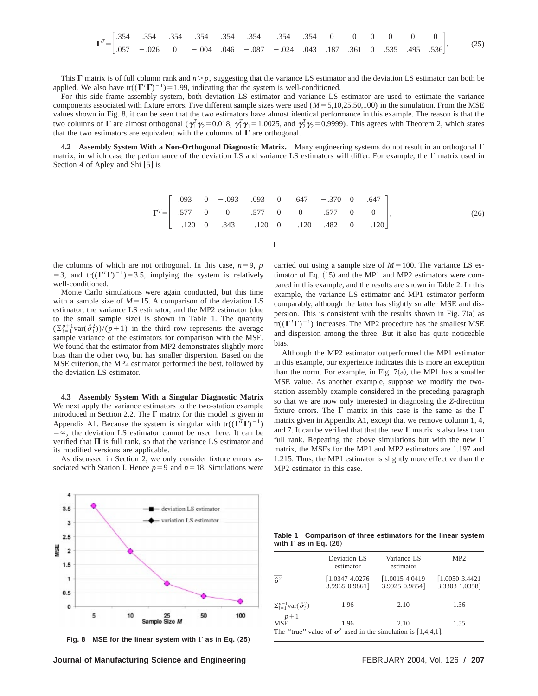|  |  |  |  |  |  |  |  | (25) |  |
|--|--|--|--|--|--|--|--|------|--|

This  $\Gamma$  matrix is of full column rank and  $n > p$ , suggesting that the variance LS estimator and the deviation LS estimator can both be applied. We also have tr( $(\Gamma^T \Gamma)^{-1}$ )=1.99, indicating that the system is well-conditioned.

For this side-frame assembly system, both deviation LS estimator and variance LS estimator are used to estimate the variance components associated with fixture errors. Five different sample sizes were used  $(M = 5,10,25,50,100)$  in the simulation. From the MSE values shown in Fig. 8, it can be seen that the two estimators have almost identical performance in this example. The reason is that the two columns of  $\Gamma$  are almost orthogonal ( $\gamma_1^T \gamma_2 = 0.018$ ,  $\gamma_1^T \gamma_1 = 1.0025$ , and  $\gamma_2^T \gamma_2 = 0.9999$ ). This agrees with Theorem 2, which states that the two estimators are equivalent with the columns of  $\Gamma$  are orthogonal.

**4.2 Assembly System With a Non-Orthogonal Diagnostic Matrix.** Many engineering systems do not result in an orthogonal  $\Gamma$ matrix, in which case the performance of the deviation LS and variance LS estimators will differ. For example, the  $\Gamma$  matrix used in Section 4 of Apley and Shi $[5]$  is

|  | $\Gamma^T = \begin{bmatrix} .093 & 0 & -.093 & .093 & 0 & .647 & -.370 & 0 & .647 \\ .577 & 0 & 0 & .577 & 0 & 0 & .577 & 0 & 0 \\ -.120 & 0 & .843 & -.120 & 0 & -.120 & .482 & 0 & -.120 \end{bmatrix},$ |  |  |  | (26) |
|--|------------------------------------------------------------------------------------------------------------------------------------------------------------------------------------------------------------|--|--|--|------|
|  |                                                                                                                                                                                                            |  |  |  |      |
|  |                                                                                                                                                                                                            |  |  |  |      |

the columns of which are not orthogonal. In this case,  $n=9$ ,  $p$ =3, and tr( $(\Gamma^T \Gamma)^{-1}$ )=3.5, implying the system is relatively well-conditioned.

Monte Carlo simulations were again conducted, but this time with a sample size of  $M=15$ . A comparison of the deviation LS estimator, the variance LS estimator, and the MP2 estimator (due to the small sample size) is shown in Table 1. The quantity  $(\sum_{i=1}^{p+1} \text{var}(\hat{\sigma}_i^2))/(p+1)$  in the third row represents the average sample variance of the estimators for comparison with the MSE. We found that the estimator from MP2 demonstrates slightly more bias than the other two, but has smaller dispersion. Based on the MSE criterion, the MP2 estimator performed the best, followed by the deviation LS estimator.

**4.3 Assembly System With a Singular Diagnostic Matrix** We next apply the variance estimators to the two-station example introduced in Section 2.2. The  $\Gamma$  matrix for this model is given in Appendix A1. Because the system is singular with  $tr((\Gamma^T \Gamma)^{-1})$  $=\infty$ , the deviation LS estimator cannot be used here. It can be verified that  $\Pi$  is full rank, so that the variance LS estimator and its modified versions are applicable.

As discussed in Section 2, we only consider fixture errors associated with Station I. Hence  $p=9$  and  $n=18$ . Simulations were carried out using a sample size of  $M=100$ . The variance LS estimator of Eq.  $(15)$  and the MP1 and MP2 estimators were compared in this example, and the results are shown in Table 2. In this example, the variance LS estimator and MP1 estimator perform comparably, although the latter has slightly smaller MSE and dispersion. This is consistent with the results shown in Fig.  $7(a)$  as tr( $(\Gamma^T \Gamma)^{-1}$ ) increases. The MP2 procedure has the smallest MSE and dispersion among the three. But it also has quite noticeable bias.

Although the MP2 estimator outperformed the MP1 estimator in this example, our experience indicates this is more an exception than the norm. For example, in Fig.  $7(a)$ , the MP1 has a smaller MSE value. As another example, suppose we modify the twostation assembly example considered in the preceding paragraph so that we are now only interested in diagnosing the *Z*-direction fixture errors. The  $\Gamma$  matrix in this case is the same as the  $\Gamma$ matrix given in Appendix A1, except that we remove column 1, 4, and 7. It can be verified that that the new  $\Gamma$  matrix is also less than full rank. Repeating the above simulations but with the new  $\Gamma$ matrix, the MSEs for the MP1 and MP2 estimators are 1.197 and 1.215. Thus, the MP1 estimator is slightly more effective than the MP2 estimator in this case.



Fig. 8 MSE for the linear system with  $\Gamma$  as in Eq. (25)

**Table 1 Comparison of three estimators for the linear system** with  $\Gamma$  as in Eq. (26)

|                                                      | Deviation LS<br>estimator                                                   | Variance LS<br>estimator         | MP <sub>2</sub>                  |
|------------------------------------------------------|-----------------------------------------------------------------------------|----------------------------------|----------------------------------|
| $\overline{\hat{\sigma}}^2$                          | [1.0347 4.0276]<br>3.9965 0.9861]                                           | [1.00154.0419]<br>3.9925 0.9854] | [1.00503.4421]<br>3.3303 1.0358] |
| $\sum_{i=1}^{p+1}$ var $(\hat{\sigma}_i^2)$<br>$p+1$ | 1.96                                                                        | 2.10                             | 1.36                             |
| <b>MSE</b>                                           | 1.96<br>The "true" value of $\sigma^2$ used in the simulation is [1,4,4,1]. | 2.10                             | 1.55                             |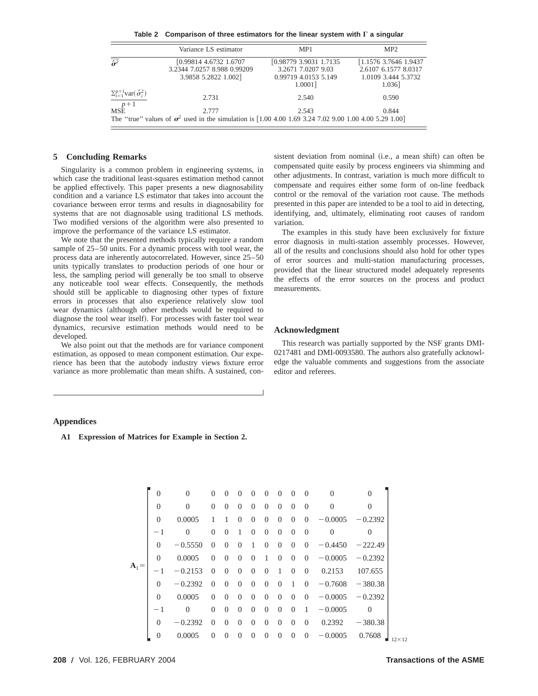Table 2 Comparison of three estimators for the linear system with  $\Gamma$  a singular

|                                             | Variance LS estimator                                                                                                  | MP <sub>1</sub>                                                                  | MP2                                                                             |
|---------------------------------------------|------------------------------------------------------------------------------------------------------------------------|----------------------------------------------------------------------------------|---------------------------------------------------------------------------------|
| $\tilde{\sigma}^2$                          | [0.99814 4.6732 1.6707<br>3.2344 7.0257 8.988 0.99209<br>3.9858 5.2822 1.002]                                          | [0.98779 3.9031 1.7135]<br>3.2671 7.0207 9.03<br>0.99719 4.0153 5.149<br>1.0001] | [1.1576 3.7646 1.9437]<br>2.6107 6.1577 8.0317<br>1.0109 3.444 5.3732<br>1.036] |
| $\sum_{i=1}^{p+1}$ var $(\hat{\sigma}_i^2)$ | 2.731                                                                                                                  | 2.540                                                                            | 0.590                                                                           |
| $\frac{p+1}{MSE}$                           | 2.777<br>The "true" values of $\sigma^2$ used in the simulation is [1.00 4.00 1.69 3.24 7.02 9.00 1.00 4.00 5.29 1.00] | 2.543                                                                            | 0.844                                                                           |

#### **5 Concluding Remarks**

Singularity is a common problem in engineering systems, in which case the traditional least-squares estimation method cannot be applied effectively. This paper presents a new diagnosability condition and a variance LS estimator that takes into account the covariance between error terms and results in diagnosability for systems that are not diagnosable using traditional LS methods. Two modified versions of the algorithm were also presented to improve the performance of the variance LS estimator.

We note that the presented methods typically require a random sample of 25–50 units. For a dynamic process with tool wear, the process data are inherently autocorrelated. However, since 25–50 units typically translates to production periods of one hour or less, the sampling period will generally be too small to observe any noticeable tool wear effects. Consequently, the methods should still be applicable to diagnosing other types of fixture errors in processes that also experience relatively slow tool wear dynamics (although other methods would be required to diagnose the tool wear itself). For processes with faster tool wear dynamics, recursive estimation methods would need to be developed.

We also point out that the methods are for variance component estimation, as opposed to mean component estimation. Our experience has been that the autobody industry views fixture error variance as more problematic than mean shifts. A sustained, con-

sistent deviation from nominal (i.e., a mean shift) can often be compensated quite easily by process engineers via shimming and other adjustments. In contrast, variation is much more difficult to compensate and requires either some form of on-line feedback control or the removal of the variation root cause. The methods presented in this paper are intended to be a tool to aid in detecting, identifying, and, ultimately, eliminating root causes of random variation.

The examples in this study have been exclusively for fixture error diagnosis in multi-station assembly processes. However, all of the results and conclusions should also hold for other types of error sources and multi-station manufacturing processes, provided that the linear structured model adequately represents the effects of the error sources on the process and product measurements.

#### **Acknowledgment**

This research was partially supported by the NSF grants DMI-0217481 and DMI-0093580. The authors also gratefully acknowledge the valuable comments and suggestions from the associate editor and referees.

#### **Appendices**

**A1 Expression of Matrices for Example in Section 2.**

|         | $\Omega$       | $\Omega$  | $\Omega$       | $\Omega$ | $\Omega$ | $\Omega$       | $\Omega$       | $\overline{0}$ | $\Omega$       | $\Omega$       | $\theta$       | $\Omega$       |
|---------|----------------|-----------|----------------|----------|----------|----------------|----------------|----------------|----------------|----------------|----------------|----------------|
|         | $\theta$       | $\Omega$  | $\theta$       | $\Omega$ | $\Omega$ | $\Omega$       | $\Omega$       | $\overline{0}$ | $\Omega$       | $\Omega$       | $\overline{0}$ | $\overline{0}$ |
|         | $\Omega$       | 0.0005    | 1              |          | $\Omega$ | $\Omega$       | $\overline{0}$ | $\overline{0}$ | $\overline{0}$ | $\Omega$       | $-0.0005$      | $-0.2392$      |
|         | $-1$           | $\Omega$  | $\theta$       | $\Omega$ | 1        | $\theta$       | 0              | $\overline{0}$ | $\Omega$       | $\Omega$       | $\theta$       | $\theta$       |
|         | $\Omega$       | $-0.5550$ | $\Omega$       | $\Omega$ | $\Omega$ | 1              | $\overline{0}$ | $\overline{0}$ | $\Omega$       | $\Omega$       | $-0.4450$      | $-222.49$      |
|         | $\Omega$       | 0.0005    | $\Omega$       | $\Omega$ | $\Omega$ | $\Omega$       | 1              | $\overline{0}$ | $\Omega$       | $\Omega$       | $-0.0005$      | $-0.2392$      |
| $A_1 =$ | $-1$           | $-0.2153$ | $\Omega$       | $\Omega$ | $\Omega$ | $\Omega$       | $\Omega$       | 1              | $\Omega$       | $\Omega$       | 0.2153         | 107.655        |
|         | $\Omega$       | $-0.2392$ | $\Omega$       | $\Omega$ | $\Omega$ | $\Omega$       | $\Omega$       | $\Omega$       | 1              | $\Omega$       | $-0.7608$      | $-380.38$      |
|         | $\Omega$       | 0.0005    | $\Omega$       | $\Omega$ | $\Omega$ | $\Omega$       | $\Omega$       | $\overline{0}$ | $\Omega$       | $\Omega$       | $-0.0005$      | $-0.2392$      |
|         | $-1$           | $\Omega$  | $\theta$       | $\Omega$ | $\Omega$ | $\Omega$       | $\Omega$       | $\overline{0}$ | $\Omega$       | 1              | $-0.0005$      | $\overline{0}$ |
|         | $\Omega$       | $-0.2392$ | $\Omega$       | $\Omega$ | $\Omega$ | $\Omega$       | $\Omega$       | $\overline{0}$ | $\Omega$       | $\Omega$       | 0.2392         | $-380.38$      |
|         | $\overline{0}$ | 0.0005    | $\overline{0}$ | $\Omega$ | $\Omega$ | $\overline{0}$ | $\overline{0}$ | $\overline{0}$ | $\overline{0}$ | $\overline{0}$ | $-0.0005$      | 0.7608         |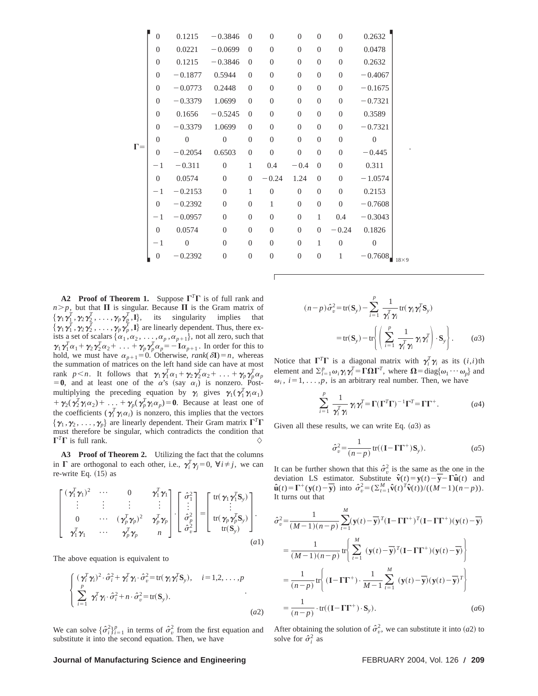|            | $\overline{0}$   | 0.1215           | $-0.3846$        | $\theta$         | $\overline{0}$   | $\mathbf{0}$   | $\overline{0}$ | $\overline{0}$ | 0.2632           |             |
|------------|------------------|------------------|------------------|------------------|------------------|----------------|----------------|----------------|------------------|-------------|
|            | $\boldsymbol{0}$ | 0.0221           | $-0.0699$        | $\overline{0}$   | $\theta$         | $\overline{0}$ | $\overline{0}$ | $\overline{0}$ | 0.0478           |             |
|            | $\overline{0}$   | 0.1215           | $-0.3846$        | $\overline{0}$   | $\overline{0}$   | $\overline{0}$ | $\overline{0}$ | $\overline{0}$ | 0.2632           |             |
|            | $\overline{0}$   | $-0.1877$        | 0.5944           | $\overline{0}$   | $\theta$         | $\overline{0}$ | $\overline{0}$ | $\overline{0}$ | $-0.4067$        |             |
|            | $\overline{0}$   | $-0.0773$        | 0.2448           | $\overline{0}$   | $\overline{0}$   | $\overline{0}$ | $\overline{0}$ | $\overline{0}$ | $-0.1675$        |             |
|            | $\overline{0}$   | $-0.3379$        | 1.0699           | $\overline{0}$   | $\overline{0}$   | $\overline{0}$ | $\overline{0}$ | $\overline{0}$ | $-0.7321$        |             |
|            | $\overline{0}$   | 0.1656           | $-0.5245$        | $\overline{0}$   | $\boldsymbol{0}$ | $\overline{0}$ | $\overline{0}$ | $\overline{0}$ | 0.3589           |             |
|            | $\overline{0}$   | $-0.3379$        | 1.0699           | $\overline{0}$   | $\overline{0}$   | $\overline{0}$ | $\overline{0}$ | $\overline{0}$ | $-0.7321$        |             |
|            | $\overline{0}$   | $\boldsymbol{0}$ | $\boldsymbol{0}$ | $\boldsymbol{0}$ | $\overline{0}$   | $\overline{0}$ | $\overline{0}$ | $\overline{0}$ | $\mathbf{0}$     |             |
| $\Gamma =$ | $\overline{0}$   | $-0.2054$        | 0.6503           | $\overline{0}$   | $\overline{0}$   | $\overline{0}$ | $\overline{0}$ | $\overline{0}$ | $-0.445$         |             |
|            | $-1$             | $-0.311$         | $\theta$         | 1                | 0.4              | $-0.4$         | $\overline{0}$ | $\overline{0}$ | 0.311            |             |
|            | $\overline{0}$   | 0.0574           | $\theta$         | $\overline{0}$   | $-0.24$          | 1.24           | $\overline{0}$ | $\overline{0}$ | $-1.0574$        |             |
|            | $-1$             | $-0.2153$        | $\Omega$         | $\mathbf{1}$     | $\overline{0}$   | $\mathbf{0}$   | $\overline{0}$ | $\Omega$       | 0.2153           |             |
|            | $\overline{0}$   | $-0.2392$        | $\overline{0}$   | $\overline{0}$   | 1                | $\overline{0}$ | $\overline{0}$ | $\overline{0}$ | $-0.7608$        |             |
|            | $-1$             | $-0.0957$        | $\theta$         | $\overline{0}$   | $\overline{0}$   | $\overline{0}$ | $\mathbf{1}$   | 0.4            | $-0.3043$        |             |
|            | $\overline{0}$   | 0.0574           | $\overline{0}$   | $\overline{0}$   | $\overline{0}$   | $\overline{0}$ | $\overline{0}$ | $-0.24$        | 0.1826           |             |
|            | $-1$             | $\overline{0}$   | $\theta$         | $\overline{0}$   | $\overline{0}$   | $\theta$       | $\mathbf{1}$   | $\theta$       | $\boldsymbol{0}$ |             |
|            | $\boldsymbol{0}$ | $-0.2392$        | $\overline{0}$   | $\boldsymbol{0}$ | $\mathbf{0}$     | $\overline{0}$ | $\mathbf{0}$   | 1              | $-0.7608$        | $18\times9$ |
|            |                  |                  |                  |                  |                  |                |                |                |                  |             |

**A2** Proof of Theorem 1. Suppose  $\Gamma^T\Gamma$  is of full rank and  $n > p$ , but that  $\Pi$  is singular. Because  $\Pi$  is the Gram matrix of  $\{\gamma_1\gamma_1^T, \gamma_2\gamma_2^T, \ldots, \gamma_p\gamma_p^T, I\},\$  its singularity implies that  $\{\gamma_1\gamma_1^T,\gamma_2\gamma_2^T,\ldots,\gamma_p\gamma_p^T,I\}$  are linearly dependent. Thus, there exists a set of scalars  $\{\alpha_1, \alpha_2, \ldots, \alpha_p, \alpha_{p+1}\}$ , not all zero, such that  $\gamma_1 \gamma_1^T \alpha_1 + \gamma_2 \gamma_2^T \alpha_2 + \ldots + \gamma_p \gamma_p^T \alpha_p = -\mathbf{I} \alpha_{p+1}$ . In order for this to hold, we must have  $\alpha_{p+1}=0$ . Otherwise, *rank*( $\delta$ **I**)=*n*, whereas the summation of matrices on the left hand side can have at most rank  $p < n$ . It follows that  $\gamma_1 \gamma_1^T \alpha_1 + \gamma_2 \gamma_2^T \alpha_2 + \ldots + \gamma_p \gamma_p^T \alpha_p$  $= 0$ , and at least one of the  $\alpha$ 's (say  $\alpha_i$ ) is nonzero. Postmultiplying the preceding equation by  $\gamma_i$  gives  $\gamma_1(\gamma_1^T \gamma_i \alpha_1)$  $+\gamma_2(\gamma_2^T\gamma_1\alpha_2)+\ldots+\gamma_p(\gamma_p^T\gamma_i\alpha_p)=0$ . Because at least one of the coefficients ( $\gamma_i^T \gamma_i \alpha_i$ ) is nonzero, this implies that the vectors  $\{\gamma_1, \gamma_2, \ldots, \gamma_p\}$  are linearly dependent. Their Gram matrix  $\Gamma^T \Gamma$ must therefore be singular, which contradicts the condition that  $\Gamma^T\Gamma$  is full rank.

**A3 Proof of Theorem 2.** Utilizing the fact that the columns in  $\Gamma$  are orthogonal to each other, i.e.,  $\gamma_i^T \gamma_j = 0$ ,  $\forall i \neq j$ , we can re-write Eq. (15) as

$$
\begin{bmatrix}\n(\gamma_1^T \gamma_1)^2 & \cdots & 0 & \gamma_1^T \gamma_1 \\
\vdots & \vdots & \vdots & \vdots \\
0 & \cdots & (\gamma_p^T \gamma_p)^2 & \gamma_p^T \gamma_p \\
\gamma_1^T \gamma_1 & \cdots & \gamma_p^T \gamma_p & n\n\end{bmatrix}\n\begin{bmatrix}\n\hat{\sigma}_1^2 \\
\vdots \\
\hat{\sigma}_p^2 \\
\hat{\sigma}_v^2\n\end{bmatrix}\n=\n\begin{bmatrix}\ntr(\gamma_1 \gamma_1^T S_y) \\
\vdots \\
tr(\gamma_p \gamma_p^T S_y)\n\end{bmatrix}.
$$
\n(41)

The above equation is equivalent to

$$
\begin{cases}\n(\boldsymbol{\gamma}_i^T \boldsymbol{\gamma}_i)^2 \cdot \hat{\sigma}_i^2 + \boldsymbol{\gamma}_i^T \boldsymbol{\gamma}_i \cdot \hat{\sigma}_v^2 = \text{tr}(\boldsymbol{\gamma}_i \boldsymbol{\gamma}_i^T \mathbf{S}_y), & i = 1, 2, \dots, p \\
\sum_{i=1}^p \boldsymbol{\gamma}_i^T \boldsymbol{\gamma}_i \cdot \hat{\sigma}_i^2 + n \cdot \hat{\sigma}_v^2 = \text{tr}(\mathbf{S}_y).\n\end{cases}
$$
\n(42)

We can solve  $\{\hat{\sigma}_i^2\}_{i=1}^p$  in terms of  $\hat{\sigma}_v^2$  from the first equation and substitute it into the second equation. Then, we have

$$
(n-p)\hat{\sigma}_v^2 = \text{tr}(\mathbf{S}_y) - \sum_{i=1}^p \frac{1}{\gamma_i^T \gamma_i} \text{tr}(\gamma_i \gamma_i^T \mathbf{S}_y)
$$

$$
= \text{tr}(\mathbf{S}_y) - \text{tr}\left\{ \left( \sum_{i=1}^p \frac{1}{\gamma_i^T \gamma_i} \gamma_i \gamma_i^T \right) \cdot \mathbf{S}_y \right\}. \qquad (a3)
$$

.

Notice that  $\Gamma^T \Gamma$  is a diagonal matrix with  $\gamma_i^T \gamma_i$  as its  $(i,i)$ th element and  $\Sigma_{i=1}^p \omega_i \gamma_i \gamma_i^T = \Gamma \Omega \Gamma^T$ , where  $\Omega = \text{diag}\{\omega_1 \cdots \omega_p\}$  and  $\omega_i$ ,  $i=1,\ldots,p$ , is an arbitrary real number. Then, we have

$$
\sum_{i=1}^p \frac{1}{\gamma_i^T \gamma_i} \gamma_i \gamma_i^T = \Gamma(\Gamma^T \Gamma)^{-1} \Gamma^T = \Gamma \Gamma^+.
$$
 (a4)

Given all these results, we can write Eq.  $(a3)$  as

$$
\hat{\sigma}_v^2 = \frac{1}{(n-p)} \operatorname{tr}((\mathbf{I} - \Gamma \Gamma^+) \mathbf{S}_y). \tag{a5}
$$

It can be further shown that this  $\hat{\sigma}_v^2$  is the same as the one in the deviation LS estimator. Substitute  $\hat{\mathbf{v}}(t) = \mathbf{y}(t) - \overline{\mathbf{y}} - \Gamma \hat{\mathbf{u}}(t)$  and  $\hat{\mathbf{u}}(t) = \Gamma^+(y(t) - \overline{y})$  into  $\hat{\sigma}_v^2 = (\sum_{t=1}^M \hat{\mathbf{v$ It turns out that

$$
\hat{\sigma}_v^2 = \frac{1}{(M-1)(n-p)} \sum_{t=1}^M (\mathbf{y}(t) - \overline{\mathbf{y}})^T (\mathbf{I} - \Gamma \Gamma^+)^T (\mathbf{I} - \Gamma \Gamma^+) (\mathbf{y}(t) - \overline{\mathbf{y}})
$$
  
\n
$$
= \frac{1}{(M-1)(n-p)} \text{tr} \left\{ \sum_{t=1}^M (\mathbf{y}(t) - \overline{\mathbf{y}})^T (\mathbf{I} - \Gamma \Gamma^+) (\mathbf{y}(t) - \overline{\mathbf{y}}) \right\}
$$
  
\n
$$
= \frac{1}{(n-p)} \text{tr} \left\{ (\mathbf{I} - \Gamma \Gamma^+) \cdot \frac{1}{M-1} \sum_{t=1}^M (\mathbf{y}(t) - \overline{\mathbf{y}}) (\mathbf{y}(t) - \overline{\mathbf{y}})^T \right\}
$$
  
\n
$$
= \frac{1}{(n-p)} \cdot \text{tr}((\mathbf{I} - \Gamma \Gamma^+) \cdot \mathbf{S}_y).
$$
 (a6)

After obtaining the solution of  $\hat{\sigma}_v^2$ , we can substitute it into (*a*2) to solve for  $\hat{\sigma}_i^2$  as

#### **Journal of Manufacturing Science and Engineering FEBRUARY 2004, Vol. 126 / 209**